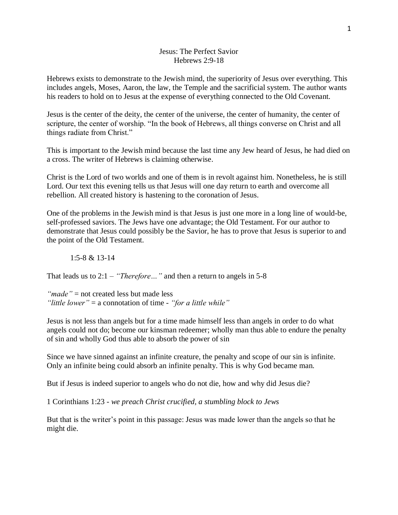#### Jesus: The Perfect Savior Hebrews 2:9-18

Hebrews exists to demonstrate to the Jewish mind, the superiority of Jesus over everything. This includes angels, Moses, Aaron, the law, the Temple and the sacrificial system. The author wants his readers to hold on to Jesus at the expense of everything connected to the Old Covenant.

Jesus is the center of the deity, the center of the universe, the center of humanity, the center of scripture, the center of worship. "In the book of Hebrews, all things converse on Christ and all things radiate from Christ."

This is important to the Jewish mind because the last time any Jew heard of Jesus, he had died on a cross. The writer of Hebrews is claiming otherwise.

Christ is the Lord of two worlds and one of them is in revolt against him. Nonetheless, he is still Lord. Our text this evening tells us that Jesus will one day return to earth and overcome all rebellion. All created history is hastening to the coronation of Jesus.

One of the problems in the Jewish mind is that Jesus is just one more in a long line of would-be, self-professed saviors. The Jews have one advantage; the Old Testament. For our author to demonstrate that Jesus could possibly be the Savior, he has to prove that Jesus is superior to and the point of the Old Testament.

### 1:5-8 & 13-14

That leads us to 2:1 – *"Therefore…"* and then a return to angels in 5-8

*"made"* = not created less but made less *"little lower"* = a connotation of time - *"for a little while"*

Jesus is not less than angels but for a time made himself less than angels in order to do what angels could not do; become our kinsman redeemer; wholly man thus able to endure the penalty of sin and wholly God thus able to absorb the power of sin

Since we have sinned against an infinite creature, the penalty and scope of our sin is infinite. Only an infinite being could absorb an infinite penalty. This is why God became man.

But if Jesus is indeed superior to angels who do not die, how and why did Jesus die?

1 Corinthians 1:23 - *we preach Christ crucified, a stumbling block to Jews*

But that is the writer's point in this passage: Jesus was made lower than the angels so that he might die.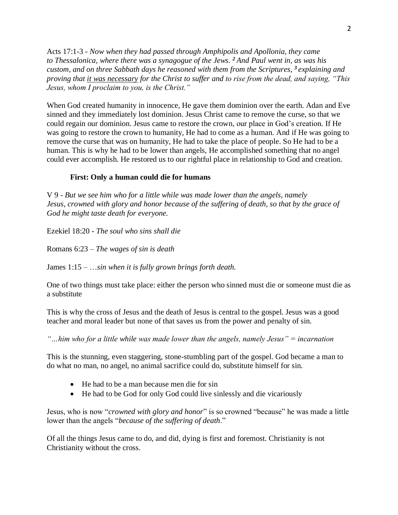Acts 17:1-3 - *Now when they had passed through Amphipolis and Apollonia, they came to Thessalonica, where there was a synagogue of the Jews. <sup>2</sup> And Paul went in, as was his custom, and on three Sabbath days he reasoned with them from the Scriptures, <sup>3</sup> explaining and proving that it was necessary for the Christ to suffer and to rise from the dead, and saying, "This Jesus, whom I proclaim to you, is the Christ."*

When God created humanity in innocence, He gave them dominion over the earth. Adan and Eve sinned and they immediately lost dominion. Jesus Christ came to remove the curse, so that we could regain our dominion. Jesus came to restore the crown, our place in God's creation. If He was going to restore the crown to humanity, He had to come as a human. And if He was going to remove the curse that was on humanity, He had to take the place of people. So He had to be a human. This is why he had to be lower than angels, He accomplished something that no angel could ever accomplish. He restored us to our rightful place in relationship to God and creation.

# **First: Only a human could die for humans**

V 9 - *But we see him who for a little while was made lower than the angels, namely Jesus, crowned with glory and honor because of the suffering of death, so that by the grace of God he might taste death for everyone.*

Ezekiel 18:20 - *The soul who sins shall die*

Romans 6:23 – *The wages of sin is death*

James 1:15 – …*sin when it is fully grown brings forth death.*

One of two things must take place: either the person who sinned must die or someone must die as a substitute

This is why the cross of Jesus and the death of Jesus is central to the gospel. Jesus was a good teacher and moral leader but none of that saves us from the power and penalty of sin.

*"…him who for a little while was made lower than the angels, namely Jesus" = incarnation*

This is the stunning, even staggering, stone-stumbling part of the gospel. God became a man to do what no man, no angel, no animal sacrifice could do, substitute himself for sin.

- He had to be a man because men die for sin
- He had to be God for only God could live sinlessly and die vicariously

Jesus, who is now "*crowned with glory and honor*" is so crowned "because" he was made a little lower than the angels "*because of the suffering of death*."

Of all the things Jesus came to do, and did, dying is first and foremost. Christianity is not Christianity without the cross.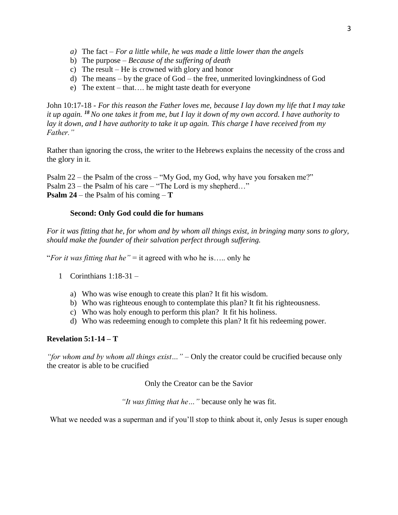- *a)* The fact *For a little while, he was made a little lower than the angels*
- b) The purpose *Because of the suffering of death*
- c) The result He is crowned with glory and honor
- d) The means by the grace of God the free, unmerited lovingkindness of God
- e) The extent that…. he might taste death for everyone

John 10:17-18 - *For this reason the Father loves me, because I lay down my life that I may take it up again. <sup>18</sup>No one takes it from me, but I lay it down of my own accord. I have authority to lay it down, and I have authority to take it up again. This charge I have received from my Father."*

Rather than ignoring the cross, the writer to the Hebrews explains the necessity of the cross and the glory in it.

Psalm 22 – the Psalm of the cross – "My God, my God, why have you forsaken me?" Psalm 23 – the Psalm of his care – "The Lord is my shepherd…" **Psalm 24** – the Psalm of his coming – **T**

# **Second: Only God could die for humans**

*For it was fitting that he, for whom and by whom all things exist, in bringing many sons to glory, should make the founder of their salvation perfect through suffering.*

"*For it was fitting that he"* = it agreed with who he is….. only he

- 1 Corinthians 1:18-31
	- a) Who was wise enough to create this plan? It fit his wisdom.
	- b) Who was righteous enough to contemplate this plan? It fit his righteousness.
	- c) Who was holy enough to perform this plan? It fit his holiness.
	- d) Who was redeeming enough to complete this plan? It fit his redeeming power.

# **Revelation 5:1-14 – T**

*"for whom and by whom all things exist…"* – Only the creator could be crucified because only the creator is able to be crucified

Only the Creator can be the Savior

*"It was fitting that he…"* because only he was fit.

What we needed was a superman and if you'll stop to think about it, only Jesus is super enough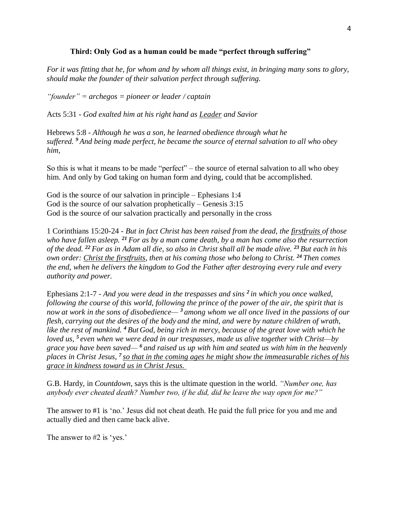# **Third: Only God as a human could be made "perfect through suffering"**

*For it was fitting that he, for whom and by whom all things exist, in bringing many sons to glory, should make the founder of their salvation perfect through suffering.*

*"founder" = archegos = pioneer or leader / captain*

Acts 5:31 - *God exalted him at his right hand as Leader and Savior*

Hebrews 5:8 - *Although he was a son, he learned obedience through what he suffered. <sup>9</sup> And being made perfect, he became the source of eternal salvation to all who obey him,*

So this is what it means to be made "perfect" – the source of eternal salvation to all who obey him. And only by God taking on human form and dying, could that be accomplished.

God is the source of our salvation in principle – Ephesians 1:4 God is the source of our salvation prophetically – Genesis 3:15 God is the source of our salvation practically and personally in the cross

1 Corinthians 15:20-24 - *But in fact Christ has been raised from the dead, the firstfruits of those who have fallen asleep. <sup>21</sup> For as by a man came death, by a man has come also the resurrection of the dead. <sup>22</sup> For as in Adam all die, so also in Christ shall all be made alive. <sup>23</sup> But each in his own order: Christ the firstfruits, then at his coming those who belong to Christ. <sup>24</sup> Then comes the end, when he delivers the kingdom to God the Father after destroying every rule and every authority and power.*

Ephesians 2:1-7 - *And you were dead in the trespasses and sins <sup>2</sup> in which you once walked, following the course of this world, following the prince of the power of the air, the spirit that is now at work in the sons of disobedience— <sup>3</sup> among whom we all once lived in the passions of our flesh, carrying out the desires of the body and the mind, and were by nature children of wrath, like the rest of mankind. <sup>4</sup> But God, being rich in mercy, because of the great love with which he loved us, <sup>5</sup> even when we were dead in our trespasses, made us alive together with Christ—by grace you have been saved— <sup>6</sup> and raised us up with him and seated us with him in the heavenly places in Christ Jesus, <sup>7</sup> so that in the coming ages he might show the immeasurable riches of his grace in kindness toward us in Christ Jesus.*

G.B. Hardy, in *Countdown*, says this is the ultimate question in the world. *"Number one, has anybody ever cheated death? Number two, if he did, did he leave the way open for me?"*

The answer to #1 is 'no.' Jesus did not cheat death. He paid the full price for you and me and actually died and then came back alive.

The answer to #2 is 'yes.'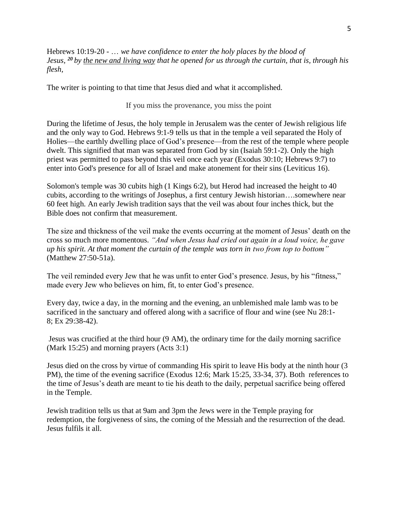Hebrews 10:19-20 - … *we have confidence to enter the holy places by the blood of Jesus, <sup>20</sup> by the new and living way that he opened for us through the curtain, that is, through his flesh,*

The writer is pointing to that time that Jesus died and what it accomplished.

If you miss the provenance, you miss the point

During the lifetime of Jesus, the holy temple in Jerusalem was the center of Jewish religious life and the only way to God. Hebrews 9:1-9 tells us that in the temple a veil separated the Holy of Holies—the earthly dwelling place of God's presence—from the rest of the temple where people dwelt. This signified that man was separated from God by sin (Isaiah 59:1-2). Only the high priest was permitted to pass beyond this veil once each year (Exodus 30:10; Hebrews 9:7) to enter into God's presence for all of Israel and make atonement for their sins (Leviticus 16).

Solomon's temple was 30 cubits high (1 Kings 6:2), but Herod had increased the height to 40 cubits, according to the writings of Josephus, a first century Jewish historian….somewhere near 60 feet high. An early Jewish tradition says that the veil was about four inches thick, but the Bible does not confirm that measurement.

The size and thickness of the veil make the events occurring at the moment of Jesus' death on the cross so much more momentous. *"And when Jesus had cried out again in a loud voice, he gave up his spirit. At that moment the curtain of the temple was torn in two from top to bottom"*  (Matthew 27:50-51a).

The veil reminded every Jew that he was unfit to enter God's presence. Jesus, by his "fitness," made every Jew who believes on him, fit, to enter God's presence.

Every day, twice a day, in the morning and the evening, an unblemished male lamb was to be sacrificed in the sanctuary and offered along with a sacrifice of flour and wine (see Nu 28:1- 8; Ex 29:38-42).

Jesus was crucified at the third hour (9 AM), the ordinary time for the daily morning sacrifice (Mark 15:25) and morning prayers (Acts 3:1)

Jesus died on the cross by virtue of commanding His spirit to leave His body at the ninth hour (3 PM), the time of the evening sacrifice (Exodus 12:6; Mark 15:25, 33-34, 37). Both references to the time of Jesus's death are meant to tie his death to the daily, perpetual sacrifice being offered in the Temple.

Jewish tradition tells us that at 9am and 3pm the Jews were in the Temple praying for redemption, the forgiveness of sins, the coming of the Messiah and the resurrection of the dead. Jesus fulfils it all.